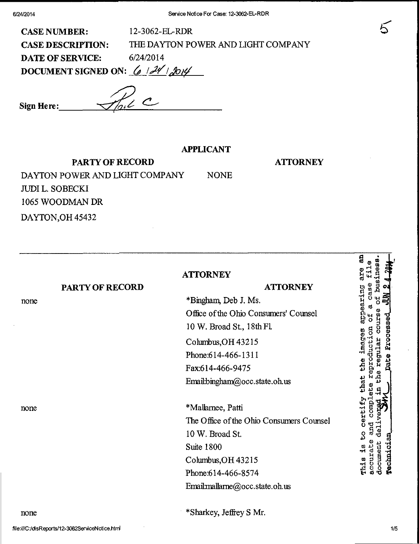| <b>CASE NUMBER:</b>             | 12-3062-EL-RDR                     |
|---------------------------------|------------------------------------|
| <b>CASE DESCRIPTION:</b>        | THE DAYTON POWER AND LIGHT COMPANY |
| <b>DATE OF SERVICE:</b>         | 6/24/2014                          |
| DOCUMENT SIGNED ON: $6/24/2014$ |                                    |

Sign Here:  $\sqrt{h}$  C

# APPLICANT

PARTY OF RECORD

**ATTORNEY** 

DAYTON POWER AND LIGHT COMPANY NONE JUDIL. SOBECKI 1065 WOODMAN DR DAYTON,OH 45432

# ATTORNEY

# PARTY OF RECORD

none

none

#### **ATTORNEY**

\*Bingham, Deb J. Ms. Office of the Ohio Consumers' Counsel 10 W. Broad St., 18th FL Columbus,OH 43215 Phone:614-466-1311 Fax:614-466-9475 Email[:bingham@occ.state.oh.us](mailto:bingham@occ.state.oh.us) 

\*Mallamee, Patti The Office of the Ohio Consumers Counsel 10 W. Broad St. Suite 1800 Columbus,OH 43215 Phone:614-466-8574 Emailmallarne@occ.state.oh.us

a  $\frac{1}{2}$   $\frac{1}{2}$   $\frac{1}{2}$   $\frac{1}{2}$ anpearing are c r  $\cos$  $\mathbf{\Phi}$  $\omega \sim 20$  $\frac{m}{6}$ ဝိပ် ညီ  $\mathbb{S}$  is  $\mathbb{S}$  . and compl  $\frac{5}{2}$ adacurate document mis is rechnic:

6

'Sharkey, JeffieyS Mr.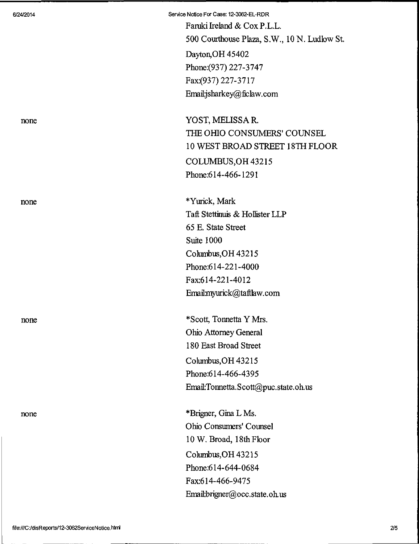6/24/2014 Service Notice For Case: 12-3062-EL-RDR Faruki Lreland & Cox P.L.L. 500 Courthouse Plaza, S.W., ION. Ludlow St. Dayton,OH 45402 Phone:(937) 227-3747 Fax:(937)227-3717 [Emailjsharkey@ficlaw.com](mailto:Emailjsharkey@ficlaw.com) 

none YOST, MELISSA R. THE OHIO CONSUMERS' COUNSEL 10 WEST BROAD STREET 18TH FLOOR COLUMBUS,OH 43215 Phone:614-466-1291

none \*Yurick, Mark Taft Stettinuis & Hollister LLP 65 E. State Street Suite 1000 Columbus,OH 43215 Phone:614-221-4000 Fax:614-221-4012 Email:myurick@taftlaw.com

none \*Scott, Tonnetta Y Mrs. Ohio Attomey General 180 East Broad Street Columbus,OH 43215 Phone:614-466-4395 Email:[Tonnetta.Scott@puc.state.oh.us](mailto:Tonnetta.Scott@puc.state.oh.us) 

none \*Brigner, Gina L Ms. Ohio Consumers' Counsel low. Broad, 18th Floor Columbus,OH 43215 Phone:614-644-0684 Fax:614-466-9475 Email[:brigner@occ.state.oh.us](mailto:brigner@occ.state.oh.us)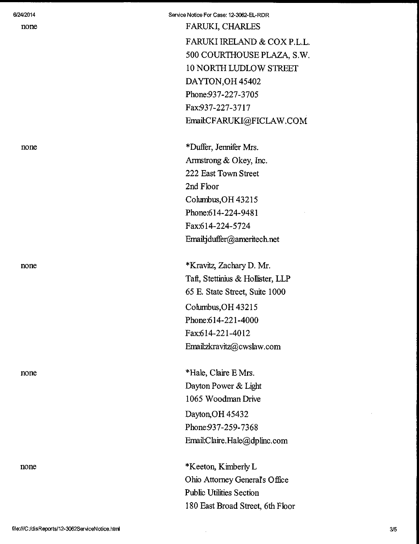none

# Service Notice For Case: 12-3062-EL-RDR

FARUKI, CHARLES

FARUKI IRELAND & COX P.L.L. 500 COURTHOUSE PLAZA, S.W. 10 NORTH LUDLOW STREET DAYTON,OH 45402 Phone:937-227-3705 Fax:937-227-3717 Email[:CFARUKI@FICLAW.COM](mailto:CFARUKI@FICLAW.COM) 

none \*Duffer, Jennifer Mrs. Armstrong & Okey, Inc. 222 East Town Street 2nd Floor Columbus,OH 43215 Phone:614-224-9481 Fax:614-224-5724 Email:jduffer@ameritech.net

none \*Kravitz, Zachary D. Mr. Taft, Stettinius & Hollister, LLP 65 E. State Street, Suite 1000 Columbus,OH43215 Phone:614-221-4000 Fax:614-221-4012 [Email2kravitz@cwslaw.com](mailto:Email2kravitz@cwslaw.com) 

none \*Hale, Claire E Mrs. Dayton Power & Light 1065 Woodman Drive Dayton,OH 45432 Phone:937-259-7368 Email:C [laire.Hale@dplinc.com](mailto:laire.Hale@dplinc.com)

none \*Keeton, Kimberly L Ohio Attomey General's Office Public Utilities Section 180 East Broad Street, 6th Floor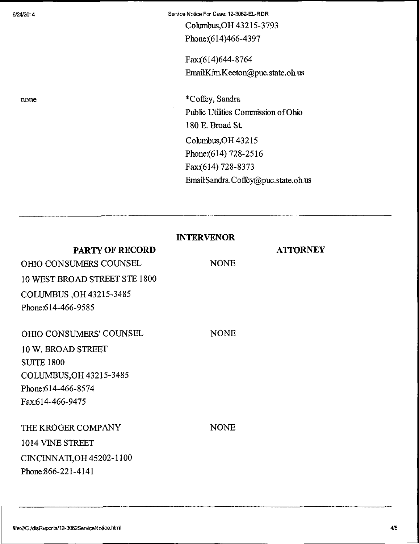6/24/2014 Seryce Notice For Case: 12-3062-EL-RDR Columbus,OH 43215-3793 Phone:(614)466-4397

> Fax:(614)644-8764 Email:Kim.Keeton@puc.state.oh.us

none \*Coffey, Sandra Public Utilities Commission of Ohio 180 E. Broad St. Columbus,OH 43215 Phone:(614) 728-2516 Fax:(614) 728-8373 Email:Sandra.Coffey@puc.state.oh.us

# PARTY OF RECORD OHIO CONSUMERS COUNSEL 10 WEST BROAD STREET STE 1800 COLUMBUS ,0H 43215-3485 Phone:614-466-9585 INTERVENOR NONE **ATTORNEY** OHIO CONSUMERS' COUNSEL low. BROAD STREET SUITE 1800 COLUMBUS,OH 43215-3485 Phone:614-466-8574 Fax:614-466-9475 NONE THE KROGER COMPANY 1014 VINE STREET CINCINNATI,OH 45202-1100 Phone:866-221-4141 NONE